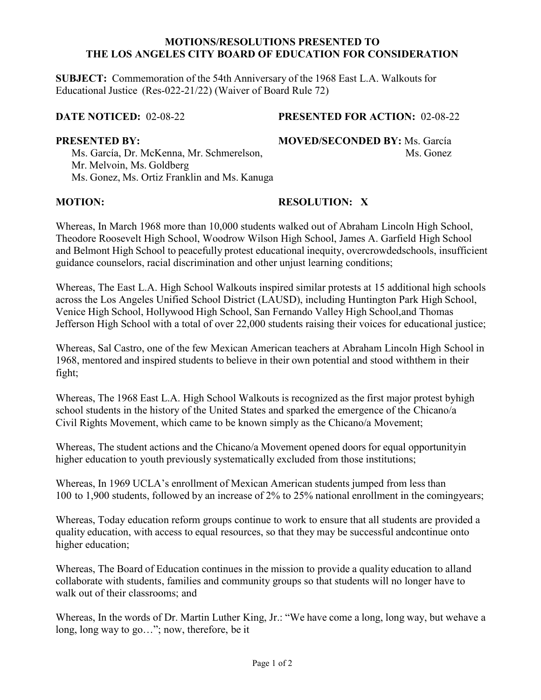### **MOTIONS/RESOLUTIONS PRESENTED TO THE LOS ANGELES CITY BOARD OF EDUCATION FOR CONSIDERATION**

**SUBJECT:** Commemoration of the 54th Anniversary of the 1968 East L.A. Walkouts for Educational Justice (Res-022-21/22) (Waiver of Board Rule 72)

## **DATE NOTICED:** 02-08-22 **PRESENTED FOR ACTION:** 02-08-22

Ms. García, Dr. McKenna, Mr. Schmerelson, Mr. Mathematic Ms. Gonez Mr. Melvoin, Ms. Goldberg Ms. Gonez, Ms. Ortiz Franklin and Ms. Kanuga

**PRESENTED BY: MOVED/SECONDED BY:** Ms. García

## **MOTION: RESOLUTION: X**

Whereas, In March 1968 more than 10,000 students walked out of Abraham Lincoln High School, Theodore Roosevelt High School, Woodrow Wilson High School, James A. Garfield High School and Belmont High School to peacefully protest educational inequity, overcrowdedschools, insufficient guidance counselors, racial discrimination and other unjust learning conditions;

Whereas, The East L.A. High School Walkouts inspired similar protests at 15 additional high schools across the Los Angeles Unified School District (LAUSD), including Huntington Park High School, Venice High School, Hollywood High School, San Fernando Valley High School,and Thomas Jefferson High School with a total of over 22,000 students raising their voices for educational justice;

Whereas, Sal Castro, one of the few Mexican American teachers at Abraham Lincoln High School in 1968, mentored and inspired students to believe in their own potential and stood withthem in their fight;

Whereas, The 1968 East L.A. High School Walkouts is recognized as the first major protest byhigh school students in the history of the United States and sparked the emergence of the Chicano/a Civil Rights Movement, which came to be known simply as the Chicano/a Movement;

Whereas, The student actions and the Chicano/a Movement opened doors for equal opportunityin higher education to youth previously systematically excluded from those institutions;

Whereas, In 1969 UCLA's enrollment of Mexican American students jumped from less than 100 to 1,900 students, followed by an increase of 2% to 25% national enrollment in the comingyears;

Whereas, Today education reform groups continue to work to ensure that all students are provided a quality education, with access to equal resources, so that they may be successful andcontinue onto higher education;

Whereas, The Board of Education continues in the mission to provide a quality education to alland collaborate with students, families and community groups so that students will no longer have to walk out of their classrooms; and

Whereas, In the words of Dr. Martin Luther King, Jr.: "We have come a long, long way, but wehave a long, long way to go…"; now, therefore, be it